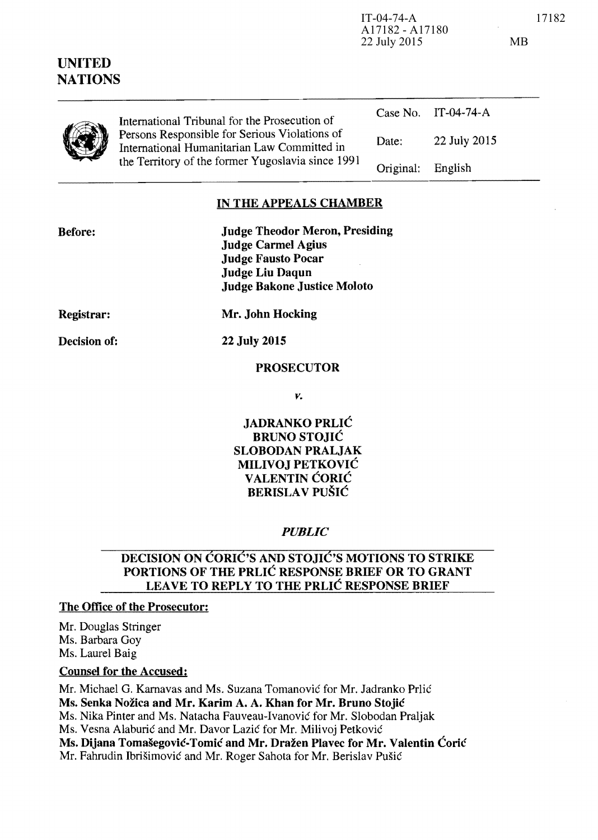| UNITED<br><b>NATIONS</b> |                                                                                                                                                                                                    | A17182 - A17180<br>22 July 2015 |              | <b>MB</b> |
|--------------------------|----------------------------------------------------------------------------------------------------------------------------------------------------------------------------------------------------|---------------------------------|--------------|-----------|
|                          | International Tribunal for the Prosecution of<br>Persons Responsible for Serious Violations of<br>International Humanitarian Law Committed in<br>the Territory of the former Yugoslavia since 1991 | Case No.                        | $IT-04-74-A$ |           |
|                          |                                                                                                                                                                                                    | Date:                           | 22 July 2015 |           |
|                          |                                                                                                                                                                                                    | Original:                       | English      |           |

# **IN THE APPEALS CHAMBER**

| <b>Before:</b> | <b>Judge Theodor Meron, Presiding</b> |
|----------------|---------------------------------------|
|                | <b>Judge Carmel Agius</b>             |
|                | <b>Judge Fausto Pocar</b>             |
|                | <b>Judge Liu Daqun</b>                |
|                | <b>Judge Bakone Justice Moloto</b>    |
|                |                                       |

**Registrar:** 

**Decision of:** 

**22 July 2015** 

**Mr. John Hocking** 

### **PROSECUTOR**

*v.* 

**JADRANKO PRLIC BRUNO STOJIC SLOBODAN PRALJAK MILIVOJ PETKOVIC VALENTIN CORIC BERISLA V PUSIC** 

#### *PUBLIC*

# **DECISION ON CORIC'S AND STOJIC'S MOTIONS TO STRIKE PORTIONS OF THE PRLIC RESPONSE BRIEF OR TO GRANT LEAVE TO REPLY TO THE PRLIC RESPONSE BRIEF**

# **The Office of the Prosecutor:**

Mr. Douglas Stringer Ms. Barbara Goy Ms. Laurel Baig

# **Counsel for the Accused:**

Mr. Michael G. Karnavas and Ms. Suzana Tomanović for Mr. Jadranko Prlić **Ms. Senka Nozica and Mr. Karim A. A. Khan for Mr. Bruno Stojic**  Ms. Nika Pinter and Ms. Natacha Fauveau-Ivanovie for Mr. Slobodan Praljak Ms. Vesna Alaburić and Mr. Davor Lazić for Mr. Milivoj Petković **Ms. Dijana Tomašegović-Tomić and Mr. Dražen Plavec for Mr. Valentin Ćorić** Mr. Fahrudin Ibrišimović and Mr. Roger Sahota for Mr. Berislav Pušić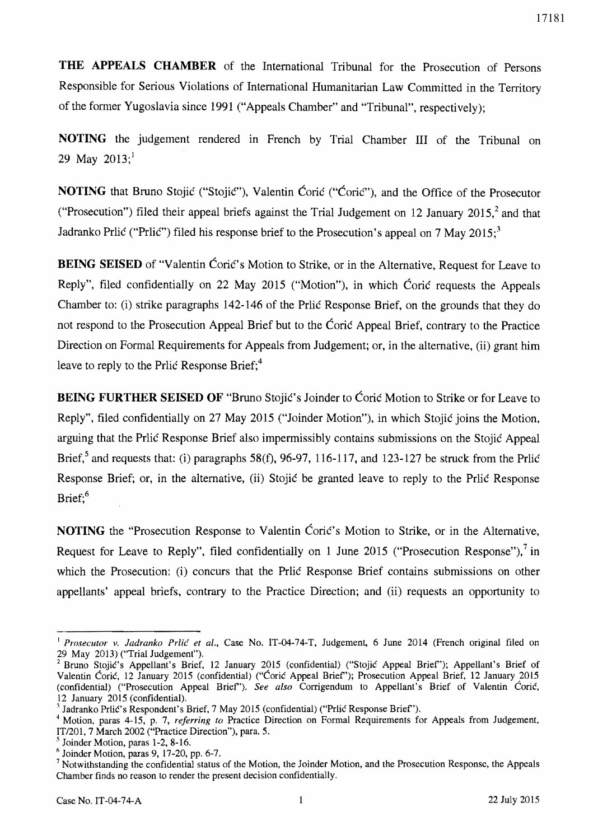**THE APPEALS CHAMBER** of the International Tribunal for the Prosecution of Persons Responsible for Serious Violations of International Humanitarian Law Committed in the Territory of the fanner Yugoslavia since 1991 ("Appeals Chamber" and "Tribunal", respectively);

**NOTING** the judgement rendered in French by Trial Chamber **III** of the Tribunal on 29 May  $2013$ ;

**NOTING** that Bruno Stojic ("Stojic"), Valentin Coric ("Coric"), and the Office of the Prosecutor ("Prosecution") filed their appeal briefs against the Trial Judgement on 12 January 2015,<sup>2</sup> and that Jadranko Prlic ("Prlic") filed his response brief to the Prosecution's appeal on 7 May 2015;<sup>3</sup>

**BEING SEISED** of "Valentin Coric's Motion to Strike, or in the Alternative, Request for Leave to Reply", filed confidentially on 22 May 2015 ("Motion"), in which Coric requests the Appeals Chamber to: (i) strike paragraphs 142-146 of the Priic Response Brief, on the grounds that they do not respond to the Prosecution Appeal Brief but to the Coric Appeal Brief, contrary to the Practice Direction on Formal Requirements for Appeals from Judgement; or, in the alternative, (ii) grant him leave to reply to the Prlic Response Brief;<sup>4</sup>

**BEING FURTHER SEISED OF "Bruno Stojić's Joinder to Coric Motion to Strike or for Leave to** Reply", filed confidentially on 27 May 2015 ("Joinder Motion"), in which Stojic joins the Motion, arguing that the Priic Response Brief also impermissibly contains submissions on the Stojic Appeal Brief,<sup>5</sup> and requests that: (i) paragraphs 58(f), 96-97, 116-117, and 123-127 be struck from the Prlic Response Brief; or, in the alternative, (ii) Stojic be granted leave to reply to the Pric Response Brief: $6$ 

**NOTING** the "Prosecution Response to Valentin Ćorić's Motion to Strike, or in the Alternative, Request for Leave to Reply", filed confidentially on 1 June 2015 ("Prosecution Response"), $7 \text{ in }$ which the Prosecution: (i) concurs that the Prlic Response Brief contains submissions on other appellants' appeal briefs, contrary to the Practice Direction; and (ii) requests an opportunity to

<sup>&</sup>lt;sup>1</sup> Prosecutor v. Jadranko Prlić et al., Case No. IT-04-74-T, Judgement, 6 June 2014 (French original filed on 29 May 2013) ("Trial JUdgement").

<sup>&</sup>lt;sup>2</sup> Bruno Stojić's Appellant's Brief, 12 January 2015 (confidential) ("Stojić Appeal Brief"); Appellant's Brief of Valentin Ćorić, 12 January 2015 (confidential) ("Ćorić Appeal Brief"); Prosecution Appeal Brief, 12 January 2015 (confidential) ("Prosecution Appeal Brief'). *See also* Corrigendum to Appellant's Brief of Valentin Corie, 12 January 2015 (confidential).

 $^3$  Jadranko Prlić's Respondent's Brief, 7 May 2015 (confidential) ("Prlić Response Brief").

<sup>4</sup> Motion, paras 4-15, p. 7, *referring to* Practice Direction on Formal Requirements for Appeals from Judgement, IT/201, 7 March 2002 ("Practice Direction"), para. 5.

 $<sup>5</sup>$  Joinder Motion, paras 1-2, 8-16.</sup>

 $6$  Joinder Motion, paras 9, 17-20, pp. 6-7.

<sup>&</sup>lt;sup>7</sup> Notwithstanding the confidential status of the Motion, the Joinder Motion, and the Prosecution Response, the Appeals Chamber finds no reason to render the present decision confidentially.